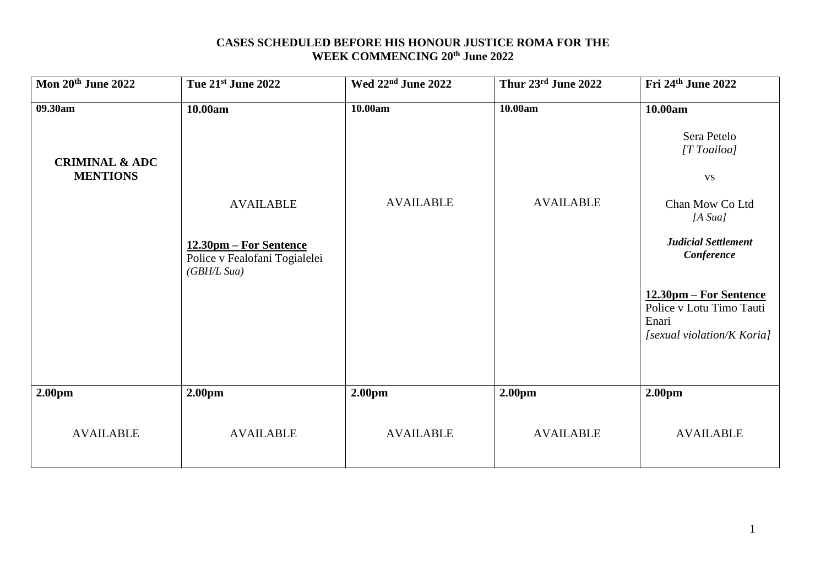## **CASES SCHEDULED BEFORE HIS HONOUR JUSTICE ROMA FOR THE WEEK COMMENCING 20th June 2022**

| Mon 20th June 2022                                      | Tue 21st June 2022                                                                            | Wed 22 <sup>nd</sup> June 2022         | Thur 23rd June 2022        | Fri 24th June 2022                                                                                                                                                    |
|---------------------------------------------------------|-----------------------------------------------------------------------------------------------|----------------------------------------|----------------------------|-----------------------------------------------------------------------------------------------------------------------------------------------------------------------|
| 09.30am<br><b>CRIMINAL &amp; ADC</b><br><b>MENTIONS</b> | 10.00am                                                                                       | 10.00am                                | 10.00am                    | 10.00am<br>Sera Petelo<br>[T Toailoa]<br><b>VS</b>                                                                                                                    |
|                                                         | <b>AVAILABLE</b><br>12.30pm – For Sentence<br>Police v Fealofani Togialelei<br>(GB H/L S u a) | <b>AVAILABLE</b>                       | <b>AVAILABLE</b>           | Chan Mow Co Ltd<br>[A S u a]<br><b>Judicial Settlement</b><br>Conference<br>12.30pm – For Sentence<br>Police v Lotu Timo Tauti<br>Enari<br>[sexual violation/K Koria] |
| 2.00 <sub>pm</sub><br><b>AVAILABLE</b>                  | 2.00pm<br><b>AVAILABLE</b>                                                                    | 2.00 <sub>pm</sub><br><b>AVAILABLE</b> | 2.00pm<br><b>AVAILABLE</b> | 2.00 <sub>pm</sub><br><b>AVAILABLE</b>                                                                                                                                |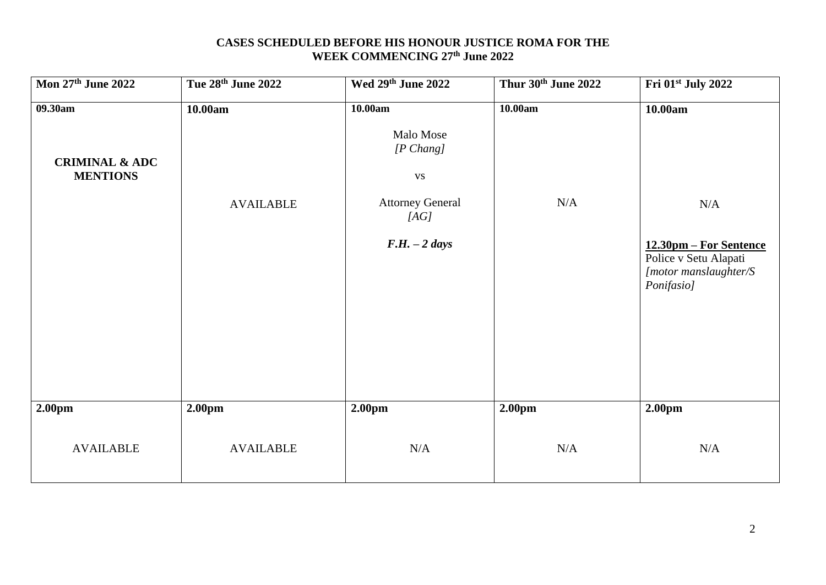## **CASES SCHEDULED BEFORE HIS HONOUR JUSTICE ROMA FOR THE WEEK COMMENCING 27th June 2022**

| Mon 27th June 2022                                      | Tue 28th June 2022          | Wed 29th June 2022                                                                                           | Thur 30th June 2022 | Fri 01 <sup>st</sup> July 2022                                                                           |
|---------------------------------------------------------|-----------------------------|--------------------------------------------------------------------------------------------------------------|---------------------|----------------------------------------------------------------------------------------------------------|
| 09.30am<br><b>CRIMINAL &amp; ADC</b><br><b>MENTIONS</b> | 10.00am<br><b>AVAILABLE</b> | 10.00am<br>Malo Mose<br>$[P \; Chang]$<br><b>VS</b><br><b>Attorney General</b><br>[AG]<br>$F.H. - 2 \; days$ | 10.00am<br>N/A      | 10.00am<br>N/A<br>12.30pm – For Sentence<br>Police v Setu Alapati<br>[motor manslaughter/S<br>Ponifasio] |
| 2.00pm                                                  | 2.00pm                      | 2.00pm                                                                                                       | 2.00 <sub>pm</sub>  | 2.00pm                                                                                                   |
| <b>AVAILABLE</b>                                        | <b>AVAILABLE</b>            | $\rm N/A$                                                                                                    | N/A                 | N/A                                                                                                      |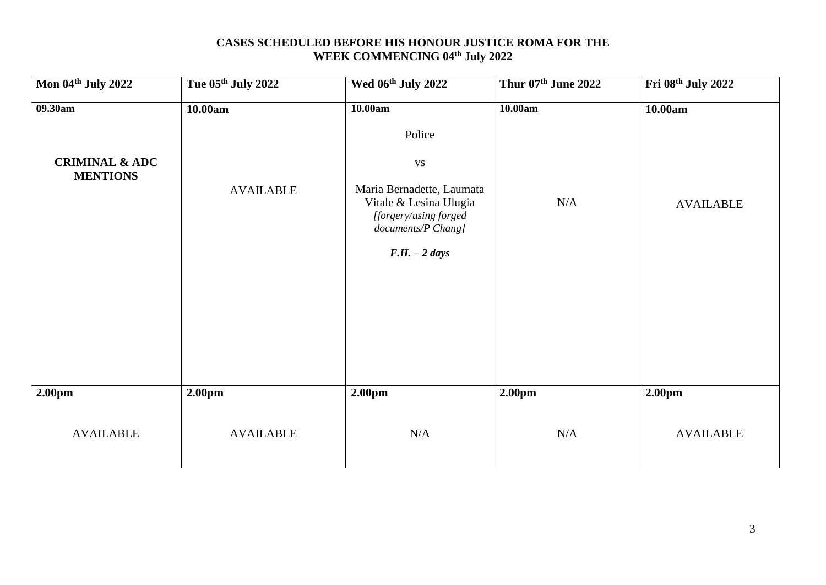# **CASES SCHEDULED BEFORE HIS HONOUR JUSTICE ROMA FOR THE WEEK COMMENCING 04th July 2022**

| Mon 04th July 2022                           | Tue 05th July 2022 | Wed 06th July 2022                                                                                                        | Thur 07th June 2022 | Fri 08th July 2022 |
|----------------------------------------------|--------------------|---------------------------------------------------------------------------------------------------------------------------|---------------------|--------------------|
| 09.30am                                      | 10.00am            | 10.00am                                                                                                                   | 10.00am             | 10.00am            |
|                                              |                    | Police                                                                                                                    |                     |                    |
| <b>CRIMINAL &amp; ADC</b><br><b>MENTIONS</b> |                    | $\mathbf{V}\mathbf{S}$                                                                                                    |                     |                    |
|                                              | <b>AVAILABLE</b>   | Maria Bernadette, Laumata<br>Vitale & Lesina Ulugia<br>[forgery/using forged]<br>documents/P Chang]<br>$F.H. - 2 \, days$ | N/A                 | <b>AVAILABLE</b>   |
|                                              |                    |                                                                                                                           |                     |                    |
|                                              |                    |                                                                                                                           |                     |                    |
|                                              |                    |                                                                                                                           |                     |                    |
|                                              |                    |                                                                                                                           |                     |                    |
| 2.00pm                                       | 2.00pm             | 2.00pm                                                                                                                    | 2.00pm              | 2.00pm             |
| <b>AVAILABLE</b>                             | <b>AVAILABLE</b>   | N/A                                                                                                                       | N/A                 | <b>AVAILABLE</b>   |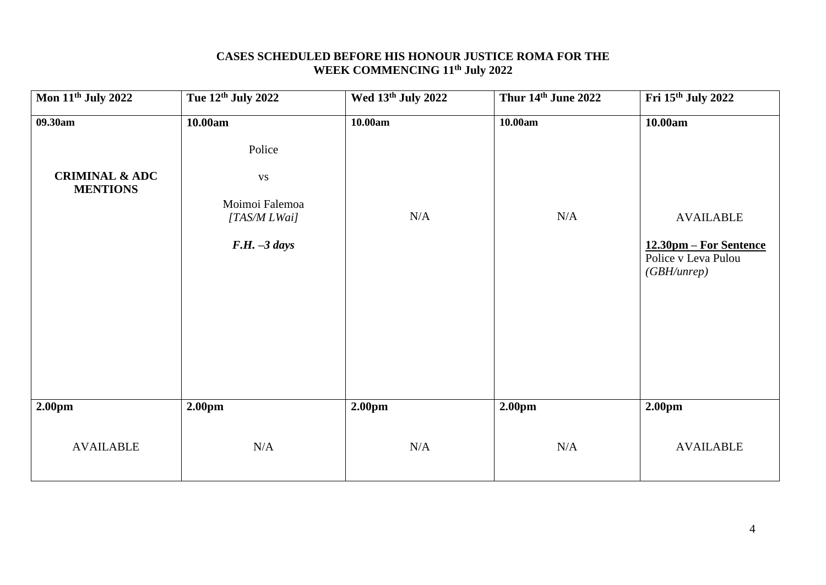#### **CASES SCHEDULED BEFORE HIS HONOUR JUSTICE ROMA FOR THE WEEK COMMENCING 11th July 2022**

| <b>Mon 11th July 2022</b> | Tue 12th July 2022             | Wed 13th July 2022 | Thur 14th June 2022 | Fri 15th July 2022                                           |
|---------------------------|--------------------------------|--------------------|---------------------|--------------------------------------------------------------|
| 09.30am                   | 10.00am                        | 10.00am            | 10.00am             | 10.00am                                                      |
| <b>CRIMINAL &amp; ADC</b> | Police<br>${\bf VS}$           |                    |                     |                                                              |
| <b>MENTIONS</b>           | Moimoi Falemoa<br>[TAS/M LWai] | N/A                | N/A                 | <b>AVAILABLE</b>                                             |
|                           | $F.H. -3 \, days$              |                    |                     | 12.30pm – For Sentence<br>Police v Leva Pulou<br>(GBH/unrep) |
|                           |                                |                    |                     |                                                              |
|                           |                                |                    |                     |                                                              |
|                           |                                |                    |                     |                                                              |
| 2.00pm                    | 2.00pm                         | 2.00pm             | 2.00 <sub>pm</sub>  | 2.00pm                                                       |
| <b>AVAILABLE</b>          | N/A                            | $\rm N/A$          | N/A                 | <b>AVAILABLE</b>                                             |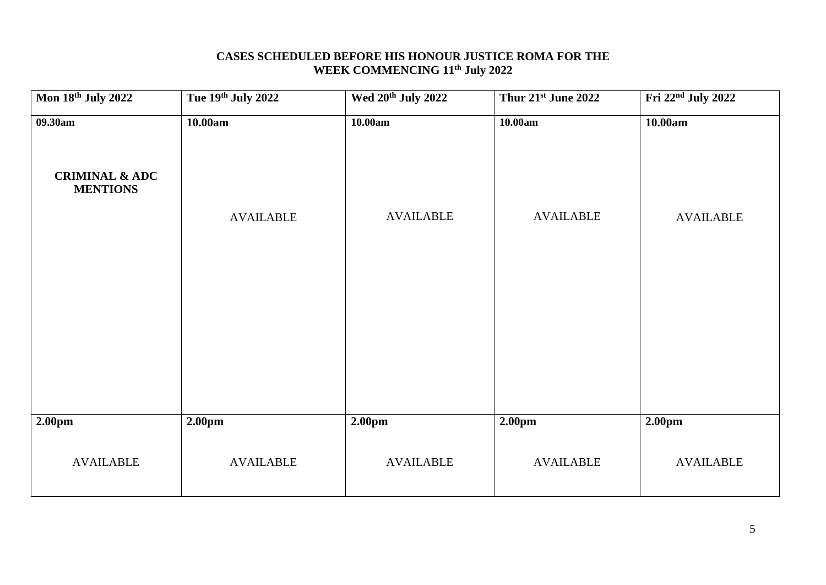#### **CASES SCHEDULED BEFORE HIS HONOUR JUSTICE ROMA FOR THE WEEK COMMENCING 11th July 2022**

| Mon 18th July 2022                           | Tue 19th July 2022 | Wed 20 <sup>th</sup> July 2022 | Thur 21st June 2022 | Fri 22 <sup>nd</sup> July 2022 |
|----------------------------------------------|--------------------|--------------------------------|---------------------|--------------------------------|
| 09.30am                                      | 10.00am            | 10.00am                        | 10.00am             | 10.00am                        |
| <b>CRIMINAL &amp; ADC</b><br><b>MENTIONS</b> |                    |                                |                     |                                |
|                                              | <b>AVAILABLE</b>   | <b>AVAILABLE</b>               | <b>AVAILABLE</b>    | <b>AVAILABLE</b>               |
|                                              |                    |                                |                     |                                |
|                                              |                    |                                |                     |                                |
|                                              |                    |                                |                     |                                |
|                                              |                    |                                |                     |                                |
| 2.00pm                                       | 2.00pm             | 2.00 <sub>pm</sub>             | 2.00 <sub>pm</sub>  | 2.00 <sub>pm</sub>             |
| <b>AVAILABLE</b>                             | <b>AVAILABLE</b>   | <b>AVAILABLE</b>               | <b>AVAILABLE</b>    | <b>AVAILABLE</b>               |